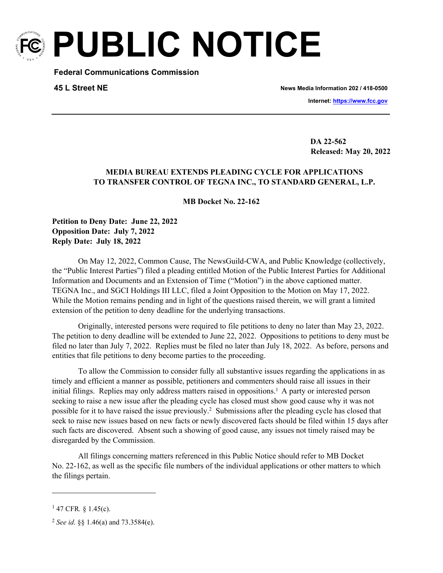

**PUBLIC NOTICE**

**Federal Communications Commission**

## **45 L Street NE**

**News Media Information 202 / 418-0500**

**Internet:<https://www.fcc.gov>**

**TTY: 1-888-835-5322**

 **DA 22-562 Released: May 20, 2022** 

## **MEDIA BUREAU EXTENDS PLEADING CYCLE FOR APPLICATIONS TO TRANSFER CONTROL OF TEGNA INC., TO STANDARD GENERAL, L.P.**

**MB Docket No. 22-162**

**Petition to Deny Date: June 22, 2022 Opposition Date: July 7, 2022 Reply Date: July 18, 2022**

On May 12, 2022, Common Cause, The NewsGuild-CWA, and Public Knowledge (collectively, the "Public Interest Parties") filed a pleading entitled Motion of the Public Interest Parties for Additional Information and Documents and an Extension of Time ("Motion") in the above captioned matter. TEGNA Inc., and SGCI Holdings III LLC, filed a Joint Opposition to the Motion on May 17, 2022. While the Motion remains pending and in light of the questions raised therein, we will grant a limited extension of the petition to deny deadline for the underlying transactions.

Originally, interested persons were required to file petitions to deny no later than May 23, 2022. The petition to deny deadline will be extended to June 22, 2022. Oppositions to petitions to deny must be filed no later than July 7, 2022. Replies must be filed no later than July 18, 2022. As before, persons and entities that file petitions to deny become parties to the proceeding.

To allow the Commission to consider fully all substantive issues regarding the applications in as timely and efficient a manner as possible, petitioners and commenters should raise all issues in their initial filings. Replies may only address matters raised in oppositions.<sup>1</sup> A party or interested person seeking to raise a new issue after the pleading cycle has closed must show good cause why it was not possible for it to have raised the issue previously.<sup>2</sup> Submissions after the pleading cycle has closed that seek to raise new issues based on new facts or newly discovered facts should be filed within 15 days after such facts are discovered. Absent such a showing of good cause, any issues not timely raised may be disregarded by the Commission.

All filings concerning matters referenced in this Public Notice should refer to MB Docket No. 22-162, as well as the specific file numbers of the individual applications or other matters to which the filings pertain.

<sup>1</sup> 47 CFR*.* § 1.45(c).

<sup>2</sup> *See id*. §§ 1.46(a) and 73.3584(e).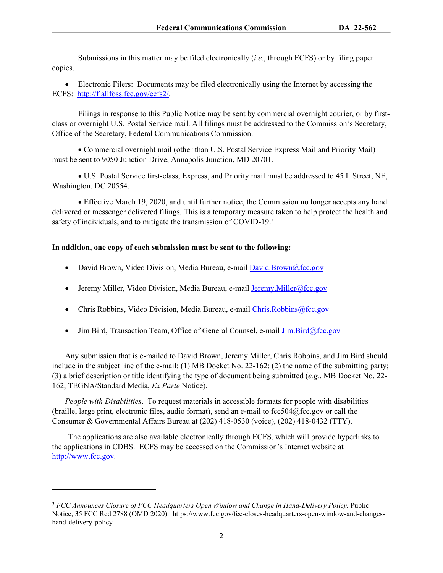Submissions in this matter may be filed electronically (*i.e.*, through ECFS) or by filing paper copies.

 Electronic Filers: Documents may be filed electronically using the Internet by accessing the ECFS: <http://fjallfoss.fcc.gov/ecfs2/>.

Filings in response to this Public Notice may be sent by commercial overnight courier, or by firstclass or overnight U.S. Postal Service mail. All filings must be addressed to the Commission's Secretary, Office of the Secretary, Federal Communications Commission.

 Commercial overnight mail (other than U.S. Postal Service Express Mail and Priority Mail) must be sent to 9050 Junction Drive, Annapolis Junction, MD 20701.

 U.S. Postal Service first-class, Express, and Priority mail must be addressed to 45 L Street, NE, Washington, DC 20554.

 Effective March 19, 2020, and until further notice, the Commission no longer accepts any hand delivered or messenger delivered filings. This is a temporary measure taken to help protect the health and safety of individuals, and to mitigate the transmission of COVID-19.<sup>3</sup>

## **In addition, one copy of each submission must be sent to the following:**

- David Brown, Video Division, Media Bureau, e-mail [David.Brown@fcc.gov](mailto:David.Brown@fcc.gov)
- **•** Jeremy Miller, Video Division, Media Bureau, e-mail [Jeremy.Miller@fcc.gov](mailto:Jeremy.Miller@fcc.gov)
- Chris Robbins, Video Division, Media Bureau, e-mail [Chris.Robbins@fcc.gov](mailto:Chris.Robbins@fcc.gov)
- Jim Bird, Transaction Team, Office of General Counsel, e-mail  $\overline{\text{Jim}}$ . Bird@fcc.gov

Any submission that is e-mailed to David Brown, Jeremy Miller, Chris Robbins, and Jim Bird should include in the subject line of the e-mail: (1) MB Docket No. 22-162; (2) the name of the submitting party; (3) a brief description or title identifying the type of document being submitted (*e.g*., MB Docket No. 22- 162, TEGNA/Standard Media, *Ex Parte* Notice).

*People with Disabilities*. To request materials in accessible formats for people with disabilities (braille, large print, electronic files, audio format), send an e-mail to fcc504@fcc.gov or call the Consumer & Governmental Affairs Bureau at (202) 418-0530 (voice), (202) 418-0432 (TTY).

The applications are also available electronically through ECFS, which will provide hyperlinks to the applications in CDBS. ECFS may be accessed on the Commission's Internet website at [http://www.fcc.gov.](http://www.fcc.gov)

<sup>&</sup>lt;sup>3</sup> *FCC Announces Closure of FCC Headquarters Open Window and Change in Hand-Delivery Policy*, Public Notice, 35 FCC Rcd 2788 (OMD 2020). https://www.fcc.gov/fcc-closes-headquarters-open-window-and-changeshand-delivery-policy